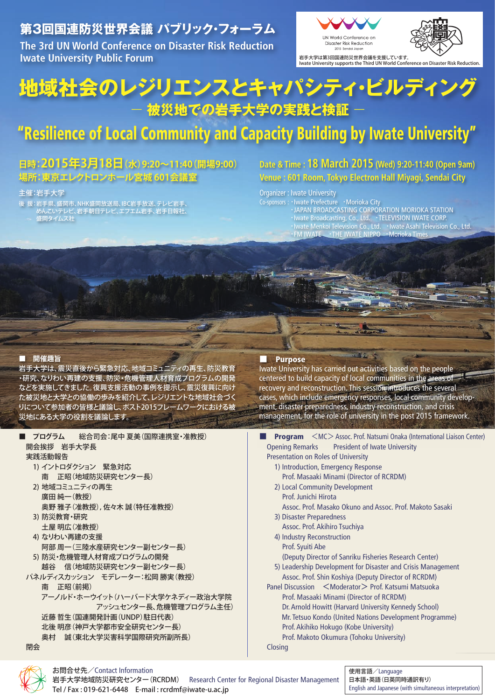### **第3回国連防災世界会議 パブリック・フォーラム**

**The 3rd UN World Conference on Disaster Risk Reduction Iwate University Public Forum**



# **地域社会のレジリエンスとキャパシティ・ビルディング** - **被災地での岩手大学の実践と検証** -

# "Resilience of Local Community and Capacity Building by Iwate University"

### **日時:2015年3月18日(水)9:20~11:40(開場9:00) 場所:東京エレクトロンホール宮城 601会議室**

#### 主催:岩手大学

- 後 援: 岩手県、盛岡市、NHK盛岡放送局、IBC岩手放送、テレビ岩手、 めんこいテレビ、岩手朝日テレビ、エフエム岩手、岩手日報社、
- 盛岡タイムス社

### **Date & Time : 18 March 2015 (Wed) 9:20-11:40 (Open 9am) Venue : 601 Room, Tokyo Electron Hall Miyagi, Sendai City**

Organizer : Iwate University

Co-sponsors :・Iwate Prefecture ・Morioka City **EXAMPLE 12 FOR STATION STATION STATION The Extendion of the Broadcasting, Co., Ltd. · TELEVISION IWATE CORP.** ■ Iwate Menkoi Television Co., Ltd. →Iwate Asahi Television Co., Ltd. **EXECUTE: 19 IN ANTEL FOR INVATE IN INVATE IN IPPO** · Morioka Times

#### ■ **開催趣旨**

岩手大学は、震災直後から緊急対応、地域コミュニティの再生、防災教育 ・研究、なりわい再建の支援、防災・危機管理人材育成プログラムの開発 などを実施してきました。復興支援活動の事例を提示し、震災復興に向け た被災地と大学との協働の歩みを紹介して、レジリエントな地域社会づく りについて参加者の皆様と議論し、ポスト2015フレームワークにおける被 災地にある大学の役割を議論します。

■ **プログラム** 総合司会:尾中 夏美(国際連携室・准教授) 開会挨拶 岩手大学長 実践活動報告 1) イントロダクション 緊急対応 南 正昭(地域防災研究センター長) 2) 地域コミュニティの再生 廣田 純一(教授) 奥野 雅子(准教授),佐々木 誠(特任准教授) 3) 防災教育・研究 土屋 明広(准教授) 4) なりわい再建の支援 阿部 周一(三陸水産研究センター副センター長) 5) 防災・危機管理人材育成プログラムの開発 越谷 信(地域防災研究センター副センター長) パネルディスカッション モデレーター:松岡勝実(教授) 南 正昭(前掲) アーノルド・ホーウイット(ハーバード大学ケネディー政治大学院 アッシュセンター長、危機管理プログラム主任) 近藤 哲生(国連開発計画(UNDP)駐日代表) 北後 明彦(神戸大学都市安全研究センター長) 奥村 誠(東北大学災害科学国際研究所副所長) 閉会

#### **Purpose**

Iwate University has carried out activities based on the people centered to build capacity of local communities in the areas of recovery and reconstruction. This session introduces the several cases, which include emergency responses, local community development, disaster preparedness, industry reconstruction, and crisis management, for the role of university in the post 2015 framework.

- **Program** <MC>Assoc. Prof. Natsumi Onaka (International Liaison Center) Opening Remarks President of Iwate University Presentation on Roles of University
	- 1) Introduction, Emergency Response Prof. Masaaki Minami (Director of RCRDM)
	- 2) Local Community Development
		- Prof. Junichi Hirota
	- Assoc. Prof. Masako Okuno and Assoc. Prof. Makoto Sasaki 3) Disaster Preparedness
	- Assoc. Prof. Akihiro Tsuchiya
	- 4) Industry Reconstruction

 Prof. Syuiti Abe (Deputy Director of Sanriku Fisheries Research Center)

- 5) Leadership Development for Disaster and Crisis Management Assoc. Prof. Shin Koshiya (Deputy Director of RCRDM)
- Panel Discussion <Moderator> Prof. Katsumi Matsuoka Prof. Masaaki Minami (Director of RCRDM) Dr. Arnold Howitt (Harvard University Kennedy School) Mr. Tetsuo Kondo (United Nations Development Programme) Prof. Akihiko Hokugo (Kobe University) Prof. Makoto Okumura (Tohoku University)

Closing



#### お問合せ先/Contact Information

岩手大学地域防災研究センター(RCRDM) Research Center for Regional Disaster Management Tel / Fax : 019-621-6448 E-mail : rcrdmf@iwate-u.ac.jp

使用言語/Language 日本語・英語(日英同時通訳有り) English and Japanese (with simultaneous interpretation)